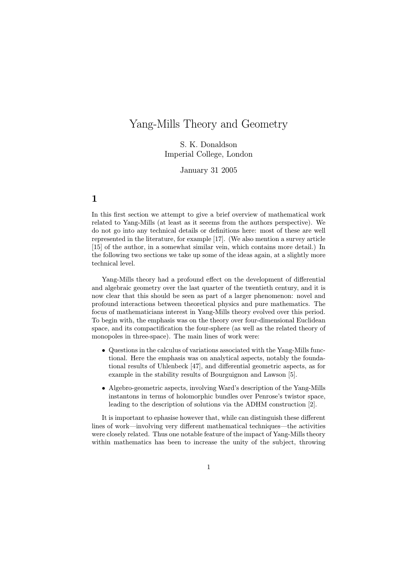# Yang-Mills Theory and Geometry

# S. K. Donaldson Imperial College, London

January 31 2005

In this first section we attempt to give a brief overview of mathematical work related to Yang-Mills (at least as it seeems from the authors perspective). We do not go into any technical details or definitions here: most of these are well represented in the literature, for example [17]. (We also mention a survey article [15] of the author, in a somewhat similar vein, which contains more detail.) In the following two sections we take up some of the ideas again, at a slightly more technical level.

Yang-Mills theory had a profound effect on the development of differential and algebraic geometry over the last quarter of the twentieth century, and it is now clear that this should be seen as part of a larger phenomenon: novel and profound interactions between theoretical physics and pure mathematics. The focus of mathematicians interest in Yang-Mills theory evolved over this period. To begin with, the emphasis was on the theory over four-dimensional Euclidean space, and its compactification the four-sphere (as well as the related theory of monopoles in three-space). The main lines of work were:

- Questions in the calculus of variations associated with the Yang-Mills functional. Here the emphasis was on analytical aspects, notably the foundational results of Uhlenbeck [47], and differential geometric aspects, as for example in the stability results of Bourguignon and Lawson [5].
- Algebro-geometric aspects, involving Ward's description of the Yang-Mills instantons in terms of holomorphic bundles over Penrose's twistor space, leading to the description of solutions via the ADHM construction [2].

It is important to ephasise however that, while can distinguish these different lines of work—involving very different mathematical techniques—the activities were closely related. Thus one notable feature of the impact of Yang-Mills theory within mathematics has been to increase the unity of the subject, throwing

1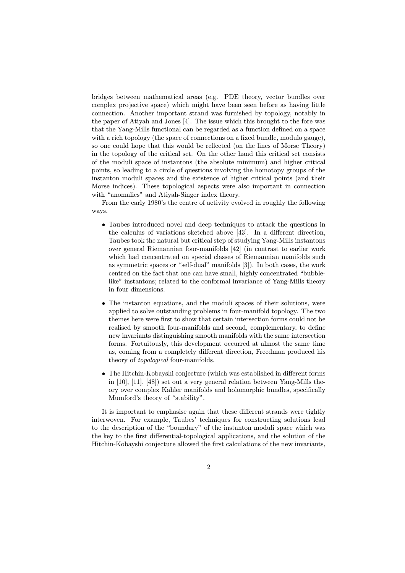bridges between mathematical areas (e.g. PDE theory, vector bundles over complex projective space) which might have been seen before as having little connection. Another important strand was furnished by topology, notably in the paper of Atiyah and Jones [4]. The issue which this brought to the fore was that the Yang-Mills functional can be regarded as a function defined on a space with a rich topology (the space of connections on a fixed bundle, modulo gauge), so one could hope that this would be reflected (on the lines of Morse Theory) in the topology of the critical set. On the other hand this critical set consists of the moduli space of instantons (the absolute minimum) and higher critical points, so leading to a circle of questions involving the homotopy groups of the instanton moduli spaces and the existence of higher critical points (and their Morse indices). These topological aspects were also important in connection with "anomalies" and Atiyah-Singer index theory.

From the early 1980's the centre of activity evolved in roughly the following ways.

- Taubes introduced novel and deep techniques to attack the questions in the calculus of variations sketched above [43]. In a different direction, Taubes took the natural but critical step of studying Yang-Mills instantons over general Riemannian four-manifolds [42] (in contrast to earlier work which had concentrated on special classes of Riemannian manifolds such as symmetric spaces or "self-dual" manifolds [3]). In both cases, the work centred on the fact that one can have small, highly concentrated "bubblelike" instantons; related to the conformal invariance of Yang-Mills theory in four dimensions.
- The instanton equations, and the moduli spaces of their solutions, were applied to solve outstanding problems in four-manifold topology. The two themes here were first to show that certain intersection forms could not be realised by smooth four-manifolds and second, complementary, to define new invariants distinguishing smooth manifolds with the same intersection forms. Fortuitously, this development occurred at almost the same time as, coming from a completely different direction, Freedman produced his theory of topological four-manifolds.
- The Hitchin-Kobayshi conjecture (which was established in different forms in [10], [11], [48]) set out a very general relation between Yang-Mills theory over complex Kahler manifolds and holomorphic bundles, specifically Mumford's theory of "stability".

It is important to emphasise again that these different strands were tightly interwoven. For example, Taubes' techniques for constructing solutions lead to the description of the "boundary" of the instanton moduli space which was the key to the first differential-topological applications, and the solution of the Hitchin-Kobayshi conjecture allowed the first calculations of the new invariants,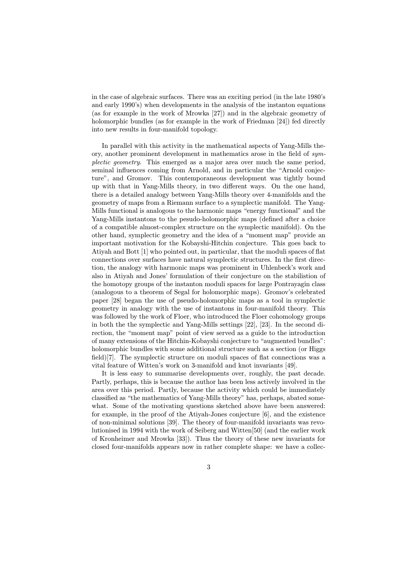in the case of algebraic surfaces. There was an exciting period (in the late 1980's and early 1990's) when developments in the analysis of the instanton equations (as for example in the work of Mrowka [27]) and in the algebraic geometry of holomorphic bundles (as for example in the work of Friedman [24]) fed directly into new results in four-manifold topology.

In parallel with this activity in the mathematical aspects of Yang-Mills theory, another prominent development in mathematics arose in the field of symplectic geometry. This emerged as a major area over much the same period, seminal influences coming from Arnold, and in particular the "Arnold conjecture", and Gromov. This contemporaneous development was tightly bound up with that in Yang-Mills theory, in two different ways. On the one hand, there is a detailed analogy between Yang-Mills theory over 4-manifolds and the geometry of maps from a Riemann surface to a symplectic manifold. The Yang-Mills functional is analogous to the harmonic maps "energy functional" and the Yang-Mills instantons to the pesudo-holomorphic maps (defined after a choice of a compatible almost-complex structure on the symplectic manifold). On the other hand, symplectic geometry and the idea of a "moment map" provide an important motivation for the Kobayshi-Hitchin conjecture. This goes back to Atiyah and Bott [1] who pointed out, in particular, that the moduli spaces of flat connections over surfaces have natural symplectic structures. In the first direction, the analogy with harmonic maps was prominent in Uhlenbeck's work and also in Atiyah and Jones' formulation of their conjecture on the stabilistion of the homotopy groups of the instanton moduli spaces for large Pontrayagin class (analogous to a theorem of Segal for holomorphic maps). Gromov's celebrated paper [28] began the use of pseudo-holomorphic maps as a tool in symplectic geometry in analogy with the use of instantons in four-manifold theory. This was followed by the work of Floer, who introduced the Floer cohomology groups in both the the symplectic and Yang-Mills settings [22], [23]. In the second direction, the "moment map" point of view served as a guide to the introduction of many extensions of the Hitchin-Kobayshi conjecture to "augmented bundles": holomorphic bundles with some additional structure such as a section (or Higgs field)[7]. The symplectic structure on moduli spaces of flat connections was a vital feature of Witten's work on 3-manifold and knot invariants [49].

It is less easy to summarise developments over, roughly, the past decade. Partly, perhaps, this is because the author has been less actively involved in the area over this period. Partly, because the activity which could be immediately classified as "the mathematics of Yang-Mills theory" has, perhaps, abated somewhat. Some of the motivating questions sketched above have been answered: for example, in the proof of the Atiyah-Jones conjecture [6], and the existence of non-minimal solutions [39]. The theory of four-manifold invariants was revolutionised in 1994 with the work of Seiberg and Witten[50] (and the earlier work of Kronheimer and Mrowka [33]). Thus the theory of these new invariants for closed four-manifolds appears now in rather complete shape: we have a collec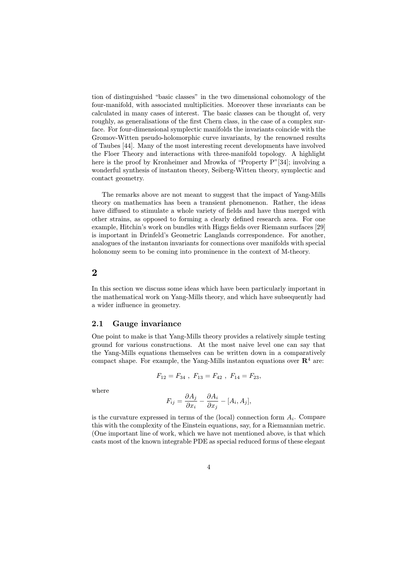tion of distinguished "basic classes" in the two dimensional cohomology of the four-manifold, with associated multiplicities. Moreover these invariants can be calculated in many cases of interest. The basic classes can be thought of, very roughly, as generalisations of the first Chern class, in the case of a complex surface. For four-dimensional symplectic manifolds the invariants coincide with the Gromov-Witten pseudo-holomorphic curve invariants, by the renowned results of Taubes [44]. Many of the most interesting recent developments have involved the Floer Theory and interactions with three-manifold topology. A highlight here is the proof by Kronheimer and Mrowka of "Property P"[34]; involving a wonderful synthesis of instanton theory, Seiberg-Witten theory, symplectic and contact geometry.

The remarks above are not meant to suggest that the impact of Yang-Mills theory on mathematics has been a transient phenomenon. Rather, the ideas have diffused to stimulate a whole variety of fields and have thus merged with other strains, as opposed to forming a clearly defined research area. For one example, Hitchin's work on bundles with Higgs fields over Riemann surfaces [29] is important in Drinfeld's Geometric Langlands correspondence. For another, analogues of the instanton invariants for connections over manifolds with special holonomy seem to be coming into prominence in the context of M-theory.

#### 2

In this section we discuss some ideas which have been particularly important in the mathematical work on Yang-Mills theory, and which have subsequently had a wider influence in geometry.

#### 2.1 Gauge invariance

One point to make is that Yang-Mills theory provides a relatively simple testing ground for various constructions. At the most naive level one can say that the Yang-Mills equations themselves can be written down in a comparatively compact shape. For example, the Yang-Mills instanton equations over  $\mathbb{R}^4$  are:

$$
F_{12}=F_{34}\;,\; F_{13}=F_{42}\;,\; F_{14}=F_{23},\;
$$

where

$$
F_{ij} = \frac{\partial A_j}{\partial x_i} - \frac{\partial A_i}{\partial x_j} - [A_i, A_j],
$$

is the curvature expressed in terms of the (local) connection form  $A_i$ . Compare this with the complexity of the Einstein equations, say, for a Riemannian metric. (One important line of work, which we have not mentioned above, is that which casts most of the known integrable PDE as special reduced forms of these elegant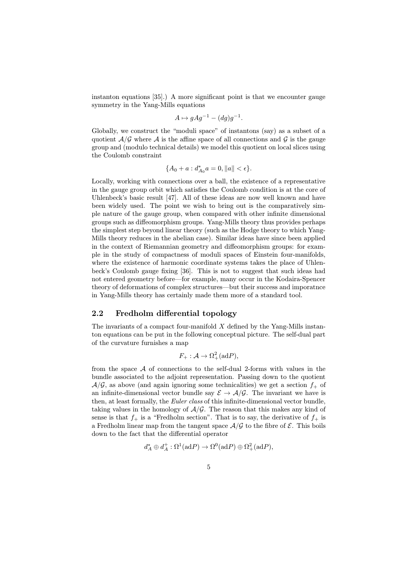instanton equations [35].) A more significant point is that we encounter gauge symmetry in the Yang-Mills equations

$$
A \mapsto gAg^{-1} - (dg)g^{-1}.
$$

Globally, we construct the "moduli space" of instantons (say) as a subset of a quotient  $\mathcal{A}/\mathcal{G}$  where  $\mathcal{A}$  is the affine space of all connections and  $\mathcal{G}$  is the gauge group and (modulo technical details) we model this quotient on local slices using the Coulomb constraint

$$
\{A_0 + a : d_{A_0}^* a = 0, ||a|| < \epsilon\}.
$$

Locally, working with connections over a ball, the existence of a representative in the gauge group orbit which satisfies the Coulomb condition is at the core of Uhlenbeck's basic result [47]. All of these ideas are now well known and have been widely used. The point we wish to bring out is the comparatively simple nature of the gauge group, when compared with other infinite dimensional groups such as diffeomorphism groups. Yang-Mills theory thus provides perhaps the simplest step beyond linear theory (such as the Hodge theory to which Yang-Mills theory reduces in the abelian case). Similar ideas have since been applied in the context of Riemannian geometry and diffeomorphism groups: for example in the study of compactness of moduli spaces of Einstein four-manifolds, where the existence of harmonic coordinate systems takes the place of Uhlenbeck's Coulomb gauge fixing [36]. This is not to suggest that such ideas had not entered geometry before—for example, many occur in the Kodaira-Spencer theory of deformations of complex structures—but their success and imporatnce in Yang-Mills theory has certainly made them more of a standard tool.

#### 2.2 Fredholm differential topology

The invariants of a compact four-manifold  $X$  defined by the Yang-Mills instanton equations can be put in the following conceptual picture. The self-dual part of the curvature furnishes a map

$$
F_+ : \mathcal{A} \to \Omega^2_+(\text{ad}P),
$$

from the space  $A$  of connections to the self-dual 2-forms with values in the bundle associated to the adjoint representation. Passing down to the quotient  $\mathcal{A}/\mathcal{G}$ , as above (and again ignoring some technicalities) we get a section  $f_{+}$  of an infinite-dimensional vector bundle say  $\mathcal{E} \to \mathcal{A}/\mathcal{G}$ . The invariant we have is then, at least formally, the *Euler class* of this infinite-dimensional vector bundle, taking values in the homology of  $A/G$ . The reason that this makes any kind of sense is that  $f_+$  is a "Fredholm section". That is to say, the derivative of  $f_+$  is a Fredholm linear map from the tangent space  $A/G$  to the fibre of  $\mathcal E$ . This boils down to the fact that the differential operator

$$
d_A^* \oplus d_A^+ : \Omega^1(\mathrm{ad}P) \to \Omega^0(\mathrm{ad}P) \oplus \Omega^2_+(\mathrm{ad}P),
$$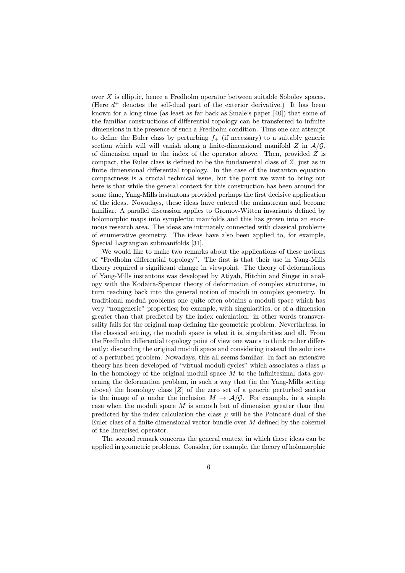over  $X$  is elliptic, hence a Fredholm operator between suitable Sobolev spaces. (Here  $d^+$  denotes the self-dual part of the exterior derivative.) It has been known for a long time (as least as far back as Smale's paper [40]) that some of the familiar constructions of differential topology can be transferred to infinite dimensions in the presence of such a Fredholm condition. Thus one can attempt to define the Euler class by perturbing  $f_{+}$  (if necessary) to a suitably generic section which will will vanish along a finite-dimensional manifold  $Z$  in  $\mathcal{A}/\mathcal{G}$ . of dimension equal to the index of the operator above. Then, provided  $Z$  is compact, the Euler class is defined to be the fundamental class of  $Z$ , just as in finite dimensional differential topology. In the case of the instanton equation compactness is a crucial technical issue, but the point we want to bring out here is that while the general context for this construction has been around for some time, Yang-Mills instantons provided perhaps the first decisive application of the ideas. Nowadays, these ideas have entered the mainstream and become familiar. A parallel discussion applies to Gromov-Witten invariants defined by holomorphic maps into symplectic manifolds and this has grown into an enormous research area. The ideas are intimately connected with classical problems of enumerative geometry. The ideas have also been applied to, for example, Special Lagrangian submanifolds [31].

We would like to make two remarks about the applications of these notions of "Fredholm differential topology". The first is that their use in Yang-Mills theory required a significant change in viewpoint. The theory of deformations of Yang-Mills instantons was developed by Atiyah, Hitchin and Singer in analogy with the Kodaira-Spencer theory of deformation of complex structures, in turn reaching back into the general notion of moduli in complex geometry. In traditional moduli problems one quite often obtains a moduli space which has very "nongeneric" properties; for example, with singularities, or of a dimension greater than that predicted by the index calculation: in other words transversality fails for the original map defining the geometric problem. Nevertheless, in the classical setting, the moduli space is what it is, singularities and all. From the Fredholm differential topology point of view one wants to think rather differently: discarding the original moduli space and considering instead the solutions of a perturbed problem. Nowadays, this all seems familiar. In fact an extensive theory has been developed of "virtual moduli cycles" which associates a class  $\mu$ in the homology of the original moduli space  $M$  to the infinitesimal data governing the deformation problem, in such a way that (in the Yang-Mills setting above) the homology class  $[Z]$  of the zero set of a generic perturbed section is the image of  $\mu$  under the inclusion  $M \to \mathcal{A}/\mathcal{G}$ . For example, in a simple case when the moduli space  $M$  is smooth but of dimension greater than that predicted by the index calculation the class  $\mu$  will be the Poincaré dual of the Euler class of a finite dimensional vector bundle over M defined by the cokernel of the linearised operator.

The second remark concerns the general context in which these ideas can be applied in geometric problems. Consider, for example, the theory of holomorphic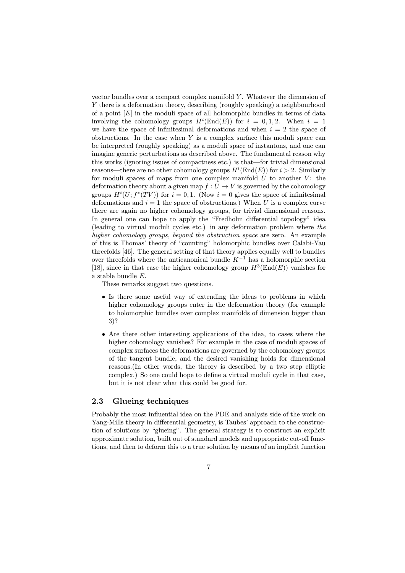vector bundles over a compact complex manifold  $Y$ . Whatever the dimension of Y there is a deformation theory, describing (roughly speaking) a neighbourhood of a point  $[E]$  in the moduli space of all holomorphic bundles in terms of data involving the cohomology groups  $H^i(\text{End}(E))$  for  $i = 0, 1, 2$ . When  $i = 1$ we have the space of infinitesimal deformations and when  $i = 2$  the space of obstructions. In the case when  $Y$  is a complex surface this moduli space can be interpreted (roughly speaking) as a moduli space of instantons, and one can imagine generic perturbations as described above. The fundamental reason why this works (ignoring issues of compactness etc.) is that—for trivial dimensional reasons—there are no other cohomology groups  $H^i(\text{End}(E))$  for  $i > 2$ . Similarly for moduli spaces of maps from one complex manifold  $U$  to another  $V$ : the deformation theory about a given map  $f: U \to V$  is governed by the cohomology groups  $H^i(U; f^*(TV))$  for  $i = 0, 1$ . (Now  $i = 0$  gives the space of infinitesimal deformations and  $i = 1$  the space of obstructions.) When U is a complex curve there are again no higher cohomology groups, for trivial dimensional reasons. In general one can hope to apply the "Fredholm differential topology" idea (leading to virtual moduli cycles etc.) in any deformation problem where the higher cohomology groups, beyond the obstruction space are zero. An example of this is Thomas' theory of "counting" holomorphic bundles over Calabi-Yau threefolds [46]. The general setting of that theory applies equally well to bundles over threefolds where the anticanonical bundle  $K^{-1}$  has a holomorphic section [18], since in that case the higher cohomology group  $H^3(\text{End}(E))$  vanishes for a stable bundle E.

These remarks suggest two questions.

- Is there some useful way of extending the ideas to problems in which higher cohomology groups enter in the deformation theory (for example to holomorphic bundles over complex manifolds of dimension bigger than 3)?
- Are there other interesting applications of the idea, to cases where the higher cohomology vanishes? For example in the case of moduli spaces of complex surfaces the deformations are governed by the cohomology groups of the tangent bundle, and the desired vanishing holds for dimensional reasons.(In other words, the theory is described by a two step elliptic complex.) So one could hope to define a virtual moduli cycle in that case, but it is not clear what this could be good for.

## 2.3 Glueing techniques

Probably the most influential idea on the PDE and analysis side of the work on Yang-Mills theory in differential geometry, is Taubes' approach to the construction of solutions by "glueing". The general strategy is to construct an explicit approximate solution, built out of standard models and appropriate cut-off functions, and then to deform this to a true solution by means of an implicit function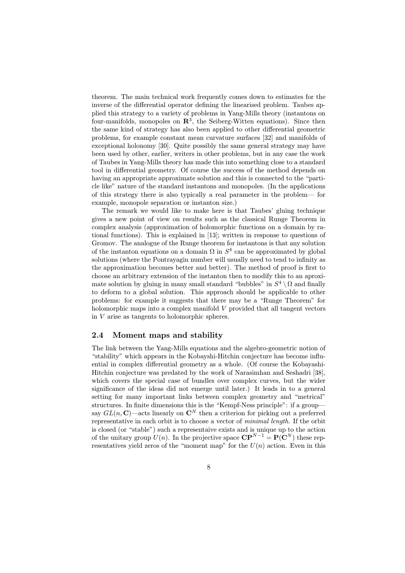theorem. The main technical work frequently comes down to estimates for the inverse of the differential operator defining the linearised problem. Taubes applied this strategy to a variety of problems in Yang-Mills theory (instantons on four-manifolds, monopoles on  $\mathbb{R}^3$ , the Seiberg-Witten equations). Since then the same kind of strategy has also been applied to other differential geometric problems, for example constant mean curvature surfaces [32] and manifolds of exceptional holonomy [30]. Quite possibly the same general strategy may have been used by other, earlier, writers in other problems, but in any case the work of Taubes in Yang-Mills theory has made this into something close to a standard tool in differential geometry. Of course the success of the method depends on having an appropriate approximate solution and this is connected to the "particle like" nature of the standard instantons and monopoles. (In the applications of this strategy there is also typically a real parameter in the problem— for example, monopole separation or instanton size.)

The remark we would like to make here is that Taubes' gluing technique gives a new point of view on results such as the classical Runge Theorem in complex analysis (approximation of holomorphic functions on a domain by rational functions). This is explained in [13]; written in response to questions of Gromov. The analogue of the Runge theorem for instantons is that any solution of the instanton equations on a domain  $\Omega$  in  $S^4$  can be approximated by global solutions (where the Pontrayagin number will usually need to tend to infinity as the approximation becomes better and better). The method of proof is first to choose an arbitrary extension of the instanton then to modify this to an aproximate solution by gluing in many small standard "bubbles" in  $S^4 \setminus \Omega$  and finally to deform to a global solution. This approach should be applicable to other problems: for example it suggests that there may be a "Runge Theorem" for holomorphic maps into a complex manifold V provided that all tangent vectors in V arise as tangents to holomorphic spheres.

## 2.4 Moment maps and stability

The link between the Yang-Mills equations and the algebro-geometric notion of "stability" which appears in the Kobayshi-Hitchin conjecture has become influential in complex differential geometry as a whole. (Of course the Kobayashi-Hitchin conjecture was predated by the work of Narasimhan and Seshadri [38], which covers the special case of bundles over complex curves, but the wider significance of the ideas did not emerge until later.) It leads in to a general setting for many important links between complex geometry and "metrical" structures. In finite dimensions this is the "Kempf-Ness principle": if a group say  $GL(n, \mathbb{C})$ —acts linearly on  $\mathbb{C}^N$  then a criterion for picking out a preferred representative in each orbit is to choose a vector of minimal length. If the orbit is closed (or "stable") such a representaive exists and is unique up to the action of the unitary group  $U(n)$ . In the projective space  $\mathbf{CP}^{N-1} = \mathbf{P}(\mathbf{C}^N)$  these representatives yield zeros of the "moment map" for the  $U(n)$  action. Even in this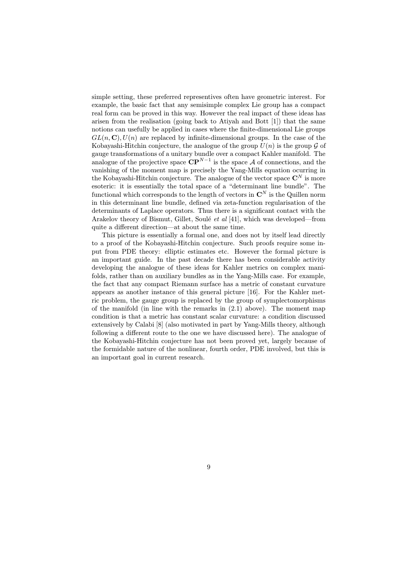simple setting, these preferred representives often have geometric interest. For example, the basic fact that any semisimple complex Lie group has a compact real form can be proved in this way. However the real impact of these ideas has arisen from the realisation (going back to Atiyah and Bott [1]) that the same notions can usefully be applied in cases where the finite-dimensional Lie groups  $GL(n, \mathbb{C}), U(n)$  are replaced by infinite-dimensional groups. In the case of the Kobayashi-Hitchin conjecture, the analogue of the group  $U(n)$  is the group G of gauge transformations of a unitary bundle over a compact Kahler manifold. The analogue of the projective space  $\overrightarrow{CP}^{N-1}$  is the space A of connections, and the vanishing of the moment map is precisely the Yang-Mills equation ocurring in the Kobayashi-Hitchin conjecture. The analogue of the vector space  $\mathbb{C}^N$  is more esoteric: it is essentially the total space of a "determinant line bundle". The functional which corresponds to the length of vectors in  $\mathbb{C}^N$  is the Quillen norm in this determinant line bundle, defined via zeta-function regularisation of the determinants of Laplace operators. Thus there is a significant contact with the Arakelov theory of Bismut, Gillet, Soulé et al [41], which was developed—from quite a different direction—at about the same time.

This picture is essentially a formal one, and does not by itself lead directly to a proof of the Kobayashi-Hitchin conjecture. Such proofs require some input from PDE theory: elliptic estimates etc. However the formal picture is an important guide. In the past decade there has been considerable activity developing the analogue of these ideas for Kahler metrics on complex manifolds, rather than on auxiliary bundles as in the Yang-Mills case. For example, the fact that any compact Riemann surface has a metric of constant curvature appears as another instance of this general picture [16]. For the Kahler metric problem, the gauge group is replaced by the group of symplectomorphisms of the manifold (in line with the remarks in (2.1) above). The moment map condition is that a metric has constant scalar curvature: a condition discussed extensively by Calabi [8] (also motivated in part by Yang-Mills theory, although following a different route to the one we have discussed here). The analogue of the Kobayashi-Hitchin conjecture has not been proved yet, largely because of the formidable nature of the nonlinear, fourth order, PDE involved, but this is an important goal in current research.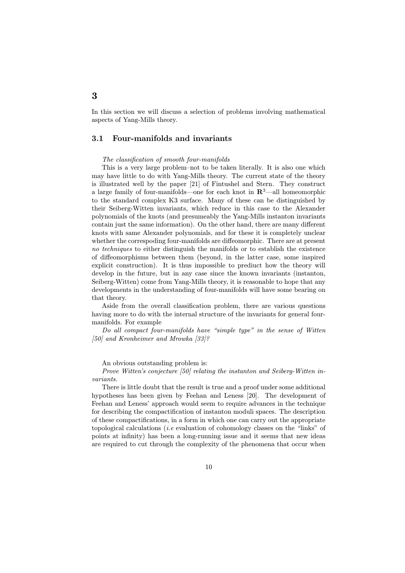In this section we will discuss a selection of problems involving mathematical aspects of Yang-Mills theory.

## 3.1 Four-manifolds and invariants

#### The classification of smooth four-manifolds

This is a very large problem–not to be taken literally. It is also one which may have little to do with Yang-Mills theory. The current state of the theory is illustrated well by the paper [21] of Fintushel and Stern. They construct a large family of four-manifolds—one for each knot in  $\mathbb{R}^3$ —all homeomorphic to the standard complex K3 surface. Many of these can be distinguished by their Seiberg-Witten invariants, which reduce in this case to the Alexander polynomials of the knots (and presumeably the Yang-Mills instanton invariants contain just the same information). On the other hand, there are many different knots with same Alexander polynomials, and for these it is completely unclear whether the correspoding four-manifolds are diffeomorphic. There are at present no techniques to either distinguish the manifolds or to establish the existence of diffeomorphisms between them (beyond, in the latter case, some inspired explicit construction). It is thus impossible to prediuct how the theory will develop in the future, but in any case since the known invariants (instanton, Seiberg-Witten) come from Yang-Mills theory, it is reasonable to hope that any developments in the understanding of four-manifolds will have some bearing on that theory.

Aside from the overall classification problem, there are various questions having more to do with the internal structure of the invariants for general fourmanifolds. For example

Do all compact four-manifolds have "simple type" in the sense of Witten [50] and Kronheimer and Mrowka [33]?

An obvious outstanding problem is:

Prove Witten's conjecture [50] relating the instanton and Seiberg-Witten invariants.

There is little doubt that the result is true and a proof under some additional hypotheses has been given by Feehan and Leness [20]. The development of Feehan and Leness' approach would seem to require advances in the technique for describing the compactification of instanton moduli spaces. The description of these compactifications, in a form in which one can carry out the appropriate topological calculations (i.e evaluation of cohomology classes on the "links" of points at infinity) has been a long-running issue and it seems that new ideas are required to cut through the complexity of the phenomena that occur when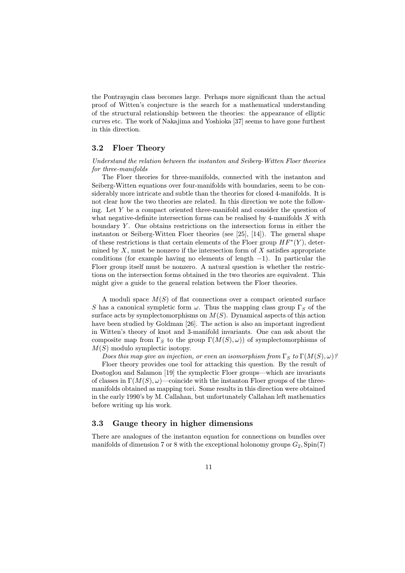the Pontrayagin class becomes large. Perhaps more significant than the actual proof of Witten's conjecture is the search for a mathematical understanding of the structural relationship between the theories: the appearance of elliptic curves etc. The work of Nakajima and Yoshioka [37] seems to have gone furthest in this direction.

## 3.2 Floer Theory

Understand the relation between the instanton and Seiberg-Witten Floer theories for three-manifolds

The Floer theories for three-manifolds, connected with the instanton and Seiberg-Witten equations over four-manifolds with boundaries, seem to be considerably more intricate and subtle than the theories for closed 4-manifolds. It is not clear how the two theories are related. In this direction we note the following. Let Y be a compact oriented three-manifold and consider the question of what negative-definite intersection forms can be realised by 4-manifolds  $X$  with boundary  $Y$ . One obtains restrictions on the intersection forms in either the instanton or Seiberg-Witten Floer theories (see [25], [14]). The general shape of these restrictions is that certain elements of the Floer group  $HF^*(Y)$ , determined by  $X$ , must be nonzero if the intersection form of  $X$  satisfies appropriate conditions (for example having no elements of length  $-1$ ). In particular the Floer group itself must be nonzero. A natural question is whether the restrictions on the intersection forms obtained in the two theories are equivalent. This might give a guide to the general relation between the Floer theories.

A moduli space  $M(S)$  of flat connections over a compact oriented surface S has a canonical sympletic form  $\omega$ . Thus the mapping class group  $\Gamma_S$  of the surface acts by symplectomorphisms on  $M(S)$ . Dynamical aspects of this action have been studied by Goldman [26]. The action is also an important ingredient in Witten's theory of knot and 3-manifold invariants. One can ask about the composite map from  $\Gamma_S$  to the group  $\Gamma(M(S), \omega)$  of symplectomorphisms of  $M(S)$  modulo symplectic isotopy.

Does this map give an injection, or even an isomorphism from  $\Gamma_S$  to  $\Gamma(M(S), \omega)$ ? Floer theory provides one tool for attacking this question. By the result of Dostoglou and Salamon [19] the symplectic Floer groups—which are invariants of classes in  $\Gamma(M(S), \omega)$ —coincide with the instanton Floer groups of the threemanifolds obtained as mapping tori. Some results in this direction were obtained in the early 1990's by M. Callahan, but unfortunately Callahan left mathematics before writing up his work.

## 3.3 Gauge theory in higher dimensions

There are analogues of the instanton equation for connections on bundles over manifolds of dimension 7 or 8 with the exceptional holonomy groups  $G_2$ ,  $Spin(7)$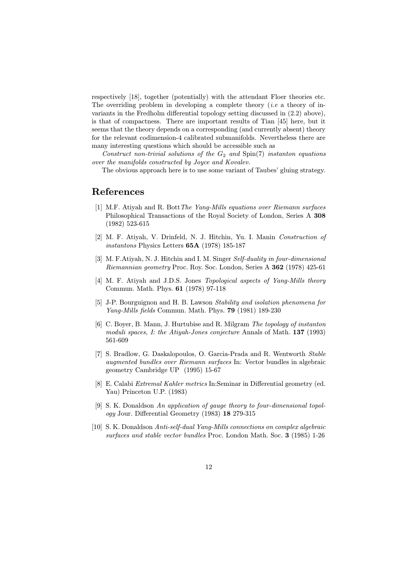respectively [18], together (potentially) with the attendant Floer theories etc. The overriding problem in developing a complete theory (*i.e.* a theory of invariants in the Fredholm differential topology setting discussed in (2.2) above), is that of compactness. There are important results of Tian [45] here, but it seems that the theory depends on a corresponding (and currently absent) theory for the relevant codimension-4 calibrated submanifolds. Nevertheless there are many interesting questions which should be accessible such as

Construct non-trivial solutions of the  $G_2$  and  $Spin(7)$  instanton equations over the manifolds constructed by Joyce and Kovalev.

The obvious approach here is to use some variant of Taubes' gluing strategy.

# References

- [1] M.F. Atiyah and R. BottThe Yang-Mills equations over Riemann surfaces Philosophical Transactions of the Royal Society of London, Series A 308 (1982) 523-615
- [2] M. F. Atiyah, V. Drinfeld, N. J. Hitchin, Yu. I. Manin Construction of instantons Physics Letters 65A (1978) 185-187
- [3] M. F.Atiyah, N. J. Hitchin and I. M. Singer Self-duality in four-dimensional Riemannian geometry Proc. Roy. Soc. London, Series A 362 (1978) 425-61
- [4] M. F. Atiyah and J.D.S. Jones Topological aspects of Yang-Mills theory Commun. Math. Phys. 61 (1978) 97-118
- [5] J-P. Bourguignon and H. B. Lawson Stability and isolation phenomena for Yang-Mills fields Commun. Math. Phys. 79 (1981) 189-230
- [6] C. Boyer, B. Mann, J. Hurtubise and R. Milgram The topology of instanton moduli spaces, *I: the Atiyah-Jones conjecture Annals of Math.* **137** (1993) 561-609
- [7] S. Bradlow, G. Daskalopoulos, O. Garcia-Prada and R. Wentworth Stable augmented bundles over Riemann surfaces In: Vector bundles in algebraic geometry Cambridge UP (1995) 15-67
- [8] E. Calabi Extremal Kahler metrics In:Seminar in Differential geometry (ed. Yau) Princeton U.P. (1983)
- [9] S. K. Donaldson An application of gauge theory to four-dimensional topology Jour. Differential Geometry (1983) 18 279-315
- [10] S. K. Donaldson Anti-self-dual Yang-Mills connections on complex algebraic surfaces and stable vector bundles Proc. London Math. Soc. 3 (1985) 1-26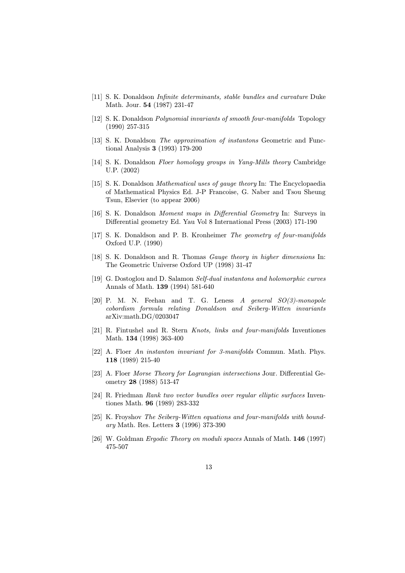- [11] S. K. Donaldson Infinite determinants, stable bundles and curvature Duke Math. Jour. 54 (1987) 231-47
- [12] S. K. Donaldson Polynomial invariants of smooth four-manifolds Topology (1990) 257-315
- [13] S. K. Donaldson *The approximation of instantons* Geometric and Functional Analysis 3 (1993) 179-200
- [14] S. K. Donaldson Floer homology groups in Yang-Mills theory Cambridge U.P. (2002)
- [15] S. K. Donaldson Mathematical uses of gauge theory In: The Encyclopaedia of Mathematical Physics Ed. J-P Francoise, G. Naber and Tsou Sheung Tsun, Elsevier (to appear 2006)
- [16] S. K. Donaldson Moment maps in Differential Geometry In: Surveys in Differential geometry Ed. Yau Vol 8 International Press (2003) 171-190
- [17] S. K. Donaldson and P. B. Kronheimer The geometry of four-manifolds Oxford U.P. (1990)
- [18] S. K. Donaldson and R. Thomas *Gauge theory in higher dimensions* In: The Geometric Universe Oxford UP (1998) 31-47
- [19] G. Dostoglou and D. Salamon Self-dual instantons and holomorphic curves Annals of Math. 139 (1994) 581-640
- [20] P. M. N. Feehan and T. G. Leness  $A$  general  $SO(3)$ -monopole cobordism formula relating Donaldson and Seiberg-Witten invariants arXiv:math.DG/0203047
- [21] R. Fintushel and R. Stern Knots, links and four-manifolds Inventiones Math. 134 (1998) 363-400
- [22] A. Floer An instanton invariant for 3-manifolds Commun. Math. Phys. 118 (1989) 215-40
- [23] A. Floer Morse Theory for Lagrangian intersections Jour. Differential Geometry 28 (1988) 513-47
- [24] R. Friedman Rank two vector bundles over regular elliptic surfaces Inventiones Math. 96 (1989) 283-332
- [25] K. Froyshov The Seiberg-Witten equations and four-manifolds with boundary Math. Res. Letters 3 (1996) 373-390
- [26] W. Goldman Ergodic Theory on moduli spaces Annals of Math. 146 (1997) 475-507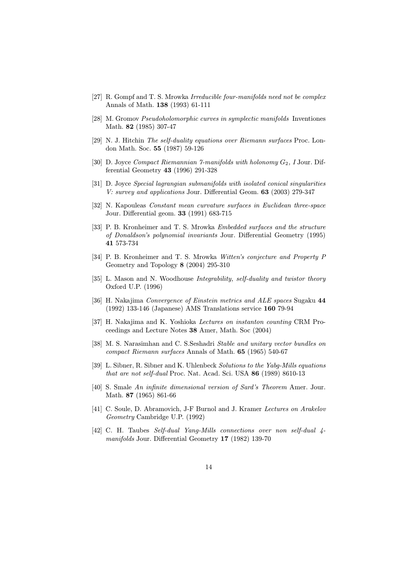- [27] R. Gompf and T. S. Mrowka Irreducible four-manifolds need not be complex Annals of Math. 138 (1993) 61-111
- [28] M. Gromov Pseudoholomorphic curves in symplectic manifolds Inventiones Math. 82 (1985) 307-47
- [29] N. J. Hitchin The self-duality equations over Riemann surfaces Proc. London Math. Soc. 55 (1987) 59-126
- [30] D. Joyce Compact Riemannian 7-manifolds with holonomy  $G_2$ , I Jour. Differential Geometry 43 (1996) 291-328
- [31] D. Joyce Special lagrangian submanifolds with isolated conical singularities V: survey and applications Jour. Differential Geom. 63 (2003) 279-347
- [32] N. Kapouleas Constant mean curvature surfaces in Euclidean three-space Jour. Differential geom. 33 (1991) 683-715
- [33] P. B. Kronheimer and T. S. Mrowka Embedded surfaces and the structure of Donaldson's polynomial invariants Jour. Differential Geometry (1995) 41 573-734
- [34] P. B. Kronheimer and T. S. Mrowka Witten's conjecture and Property P Geometry and Topology 8 (2004) 295-310
- [35] L. Mason and N. Woodhouse Integrability, self-duality and twistor theory Oxford U.P. (1996)
- [36] H. Nakajima Convergence of Einstein metrics and ALE spaces Sugaku 44 (1992) 133-146 (Japanese) AMS Translations service 160 79-94
- [37] H. Nakajima and K. Yoshioka Lectures on instanton counting CRM Proceedings and Lecture Notes 38 Amer, Math. Soc (2004)
- [38] M. S. Narasimhan and C. S.Seshadri Stable and unitary vector bundles on compact Riemann surfaces Annals of Math. 65 (1965) 540-67
- [39] L. Sibner, R. Sibner and K. Uhlenbeck Solutions to the Yabg-Mills equations that are not self-dual Proc. Nat. Acad. Sci. USA 86 (1989) 8610-13
- [40] S. Smale An infinite dimensional version of Sard's Theorem Amer. Jour. Math. 87 (1965) 861-66
- [41] C. Soule, D. Abramovich, J-F Burnol and J. Kramer Lectures on Arakelov Geometry Cambridge U.P. (1992)
- [42] C. H. Taubes Self-dual Yang-Mills connections over non self-dual 4 manifolds Jour. Differential Geometry 17 (1982) 139-70